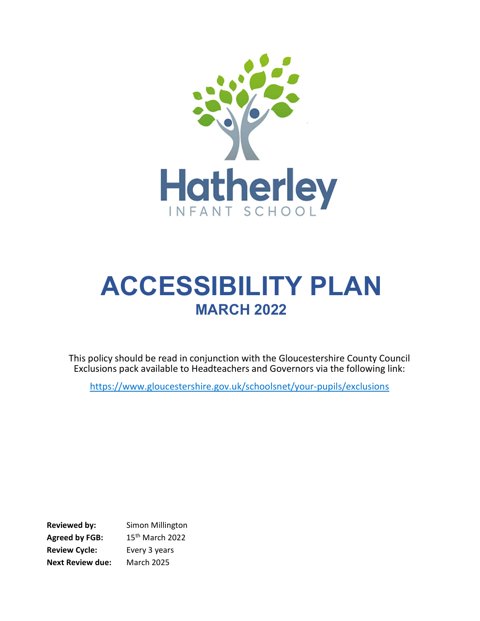

# ACCESSIBILITY PLAN **MARCH 2022**

This policy should be read in conjunction with the Gloucestershire County Council Exclusions pack available to Headteachers and Governors via the following link:

https://www.gloucestershire.gov.uk/schoolsnet/your-pupils/exclusions

Reviewed by: Simon Millington Agreed by FGB: 15<sup>th</sup> March 2022 Review Cycle: Every 3 years Next Review due: March 2025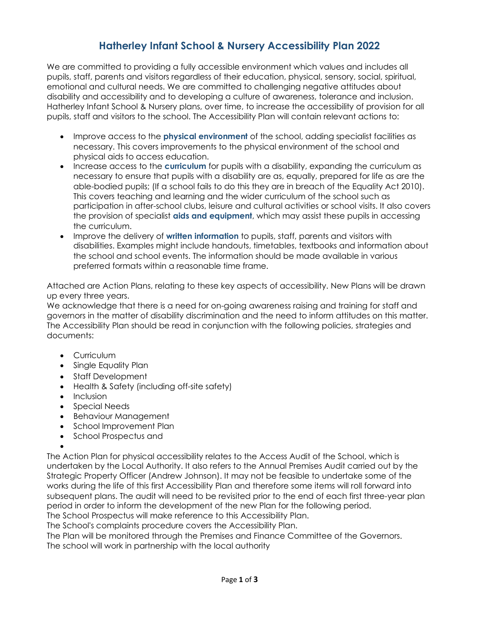#### Hatherley Infant School & Nursery Accessibility Plan 2022

We are committed to providing a fully accessible environment which values and includes all pupils, staff, parents and visitors regardless of their education, physical, sensory, social, spiritual, emotional and cultural needs. We are committed to challenging negative attitudes about disability and accessibility and to developing a culture of awareness, tolerance and inclusion. Hatherley Infant School & Nursery plans, over time, to increase the accessibility of provision for all pupils, staff and visitors to the school. The Accessibility Plan will contain relevant actions to:

- Improve access to the **physical environment** of the school, adding specialist facilities as necessary. This covers improvements to the physical environment of the school and physical aids to access education.
- Increase access to the **curriculum** for pupils with a disability, expanding the curriculum as necessary to ensure that pupils with a disability are as, equally, prepared for life as are the able-bodied pupils; (If a school fails to do this they are in breach of the Equality Act 2010). This covers teaching and learning and the wider curriculum of the school such as participation in after-school clubs, leisure and cultural activities or school visits. It also covers the provision of specialist aids and equipment, which may assist these pupils in accessing the curriculum.
- Improve the delivery of written information to pupils, staff, parents and visitors with disabilities. Examples might include handouts, timetables, textbooks and information about the school and school events. The information should be made available in various preferred formats within a reasonable time frame.

Attached are Action Plans, relating to these key aspects of accessibility. New Plans will be drawn up every three years.

We acknowledge that there is a need for on-going awareness raising and training for staff and governors in the matter of disability discrimination and the need to inform attitudes on this matter. The Accessibility Plan should be read in conjunction with the following policies, strategies and documents:

- **Curriculum**
- Single Equality Plan
- Staff Development
- Health & Safety (including off-site safety)
- Inclusion
- Special Needs
- Behaviour Management
- School Improvement Plan
- School Prospectus and

 $\bullet$ The Action Plan for physical accessibility relates to the Access Audit of the School, which is undertaken by the Local Authority. It also refers to the Annual Premises Audit carried out by the Strategic Property Officer (Andrew Johnson). It may not be feasible to undertake some of the works during the life of this first Accessibility Plan and therefore some items will roll forward into subsequent plans. The audit will need to be revisited prior to the end of each first three-year plan period in order to inform the development of the new Plan for the following period. The School Prospectus will make reference to this Accessibility Plan.

The School's complaints procedure covers the Accessibility Plan.

The Plan will be monitored through the Premises and Finance Committee of the Governors. The school will work in partnership with the local authority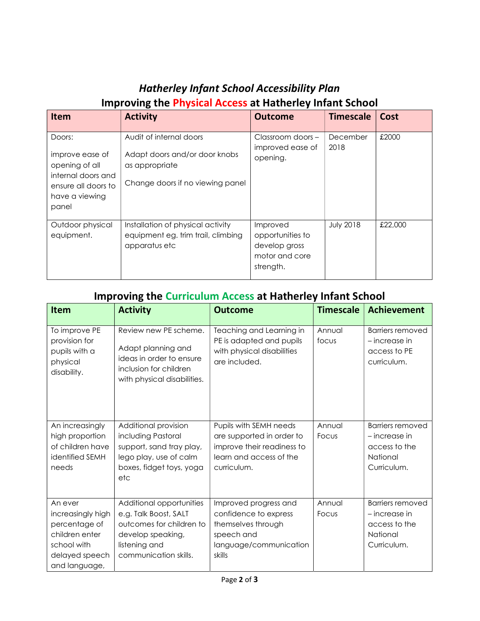### Hatherley Infant School Accessibility Plan Improving the Physical Access at Hatherley Infant School

| <b>Item</b>                                                                                                         | <b>Activity</b>                                                                                                | <b>Outcome</b>                                                               | <b>Timescale</b> | Cost    |
|---------------------------------------------------------------------------------------------------------------------|----------------------------------------------------------------------------------------------------------------|------------------------------------------------------------------------------|------------------|---------|
| Doors:<br>improve ease of<br>opening of all<br>internal doors and<br>ensure all doors to<br>have a viewing<br>panel | Audit of internal doors<br>Adapt doors and/or door knobs<br>as appropriate<br>Change doors if no viewing panel | Classroom doors -<br>improved ease of<br>opening.                            | December<br>2018 | £2000   |
| Outdoor physical<br>equipment.                                                                                      | Installation of physical activity<br>equipment eg. trim trail, climbing<br>apparatus etc                       | Improved<br>opportunities to<br>develop gross<br>motor and core<br>strength. | <b>July 2018</b> | £22,000 |

#### Improving the Curriculum Access at Hatherley Infant School

| <b>Item</b>                                                                                                       | <b>Activity</b>                                                                                                                              | <b>Outcome</b>                                                                                                              | <b>Timescale</b> | <b>Achievement</b>                                                                     |
|-------------------------------------------------------------------------------------------------------------------|----------------------------------------------------------------------------------------------------------------------------------------------|-----------------------------------------------------------------------------------------------------------------------------|------------------|----------------------------------------------------------------------------------------|
| To improve PE<br>provision for<br>pupils with a<br>physical<br>disability.                                        | Review new PE scheme.<br>Adapt planning and<br>ideas in order to ensure<br>inclusion for children<br>with physical disabilities.             | Teaching and Learning in<br>PE is adapted and pupils<br>with physical disabilities<br>are included.                         | Annual<br>focus  | <b>Barriers removed</b><br>$-$ increase in<br>access to PE<br>curriculum.              |
| An increasingly<br>high proportion<br>of children have<br>identified SEMH<br>needs                                | Additional provision<br>including Pastoral<br>support, sand tray play,<br>lego play, use of calm<br>boxes, fidget toys, yoga<br>etc          | Pupils with SEMH needs<br>are supported in order to<br>improve their readiness to<br>learn and access of the<br>curriculum. | Annual<br>Focus  | <b>Barriers removed</b><br>- increase in<br>access to the<br>National<br>Curriculum.   |
| An ever<br>increasingly high<br>percentage of<br>children enter<br>school with<br>delayed speech<br>and language, | Additional opportunities<br>e.g. Talk Boost, SALT<br>outcomes for children to<br>develop speaking,<br>listening and<br>communication skills. | Improved progress and<br>confidence to express<br>themselves through<br>speech and<br>language/communication<br>skills      | Annual<br>Focus  | <b>Barriers removed</b><br>$-$ increase in<br>access to the<br>National<br>Curriculum. |